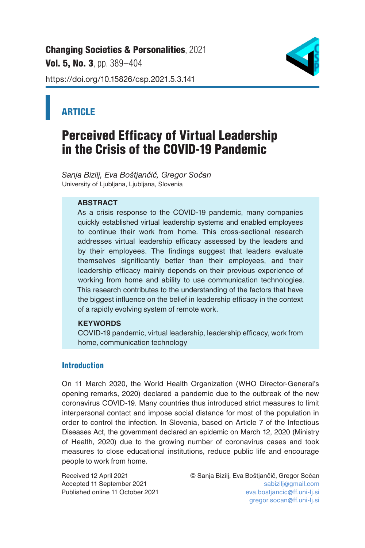[Changing Societies & Personalities](https://changing-sp.com/), 2021 Vol. 5, No. 3, pp. 389-404 https://doi.org/10.15826/csp.2021.5.3.141



# **ARTICLE**

# Perceived Efficacy of Virtual Leadership in the Crisis of the COVID-19 Pandemic

*Sanja Bizilj, Eva Boštjančič, Gregor Sočan* University of Ljubljana, Ljubljana, Slovenia

# **ABSTRACT**

As a crisis response to the COVID-19 pandemic, many companies quickly established virtual leadership systems and enabled employees to continue their work from home. This cross-sectional research addresses virtual leadership efficacy assessed by the leaders and by their employees. The findings suggest that leaders evaluate themselves significantly better than their employees, and their leadership efficacy mainly depends on their previous experience of working from home and ability to use communication technologies. This research contributes to the understanding of the factors that have the biggest influence on the belief in leadership efficacy in the context of a rapidly evolving system of remote work.

# **KEYWORDS**

COVID-19 pandemic, virtual leadership, leadership efficacy, work from home, communication technology

# **Introduction**

On 11 March 2020, the World Health Organization (WHO Director-General's opening remarks, 2020) declared a pandemic due to the outbreak of the new coronavirus COVID-19. Many countries thus introduced strict measures to limit interpersonal contact and impose social distance for most of the population in order to control the infection. In Slovenia, based on Article 7 of the Infectious Diseases Act, the government declared an epidemic on March 12, 2020 (Ministry of Health, 2020) due to the growing number of coronavirus cases and took measures to close educational institutions, reduce public life and encourage people to work from home.

Accepted 11 September 2021<br>Published online 11 October 2021

Received 12 April 2021 © Sanja Bizilj, Eva Boštjančič, Gregor Sočan eva.bostjancic@ff.uni-lj.si gregor.socan@ff.uni-lj.si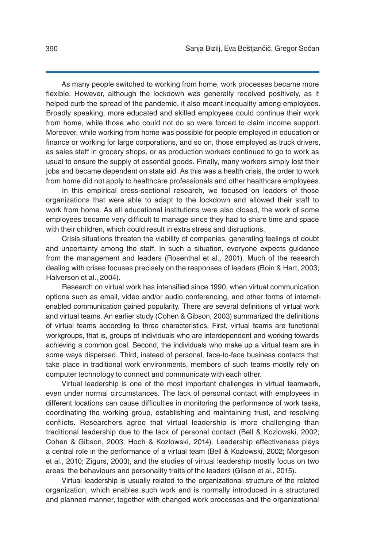As many people switched to working from home, work processes became more flexible. However, although the lockdown was generally received positively, as it helped curb the spread of the pandemic, it also meant inequality among employees. Broadly speaking, more educated and skilled employees could continue their work from home, while those who could not do so were forced to claim income support. Moreover, while working from home was possible for people employed in education or finance or working for large corporations, and so on, those employed as truck drivers, as sales staff in grocery shops, or as production workers continued to go to work as usual to ensure the supply of essential goods. Finally, many workers simply lost their jobs and became dependent on state aid. As this was a health crisis, the order to work from home did not apply to healthcare professionals and other healthcare employees.

In this empirical cross-sectional research, we focused on leaders of those organizations that were able to adapt to the lockdown and allowed their staff to work from home. As all educational institutions were also closed, the work of some employees became very difficult to manage since they had to share time and space with their children, which could result in extra stress and disruptions.

Crisis situations threaten the viability of companies, generating feelings of doubt and uncertainty among the staff. In such a situation, everyone expects guidance from the management and leaders (Rosenthal et al., 2001). Much of the research dealing with crises focuses precisely on the responses of leaders (Boin & Hart, 2003; Halverson et al., 2004).

Research on virtual work has intensified since 1990, when virtual communication options such as email, video and/or audio conferencing, and other forms of internetenabled communication gained popularity. There are several definitions of virtual work and virtual teams. An earlier study (Cohen & Gibson, 2003) summarized the definitions of virtual teams according to three characteristics. First, virtual teams are functional workgroups, that is, groups of individuals who are interdependent and working towards achieving a common goal. Second, the individuals who make up a virtual team are in some ways dispersed. Third, instead of personal, face-to-face business contacts that take place in traditional work environments, members of such teams mostly rely on computer technology to connect and communicate with each other.

Virtual leadership is one of the most important challenges in virtual teamwork, even under normal circumstances. The lack of personal contact with employees in different locations can cause difficulties in monitoring the performance of work tasks, coordinating the working group, establishing and maintaining trust, and resolving conflicts. Researchers agree that virtual leadership is more challenging than traditional leadership due to the lack of personal contact (Bell & Kozlowski, 2002; Cohen & Gibson, 2003; Hoch & Kozlowski, 2014). Leadership effectiveness plays a central role in the performance of a virtual team (Bell & Kozlowski, 2002; Morgeson et al., 2010; Zigurs, 2003), and the studies of virtual leadership mostly focus on two areas: the behaviours and personality traits of the leaders (Gilson et al., 2015).

Virtual leadership is usually related to the organizational structure of the related organization, which enables such work and is normally introduced in a structured and planned manner, together with changed work processes and the organizational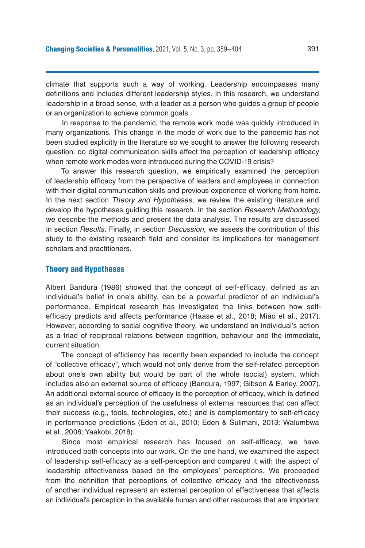climate that supports such a way of working. Leadership encompasses many definitions and includes different leadership styles. In this research, we understand leadership in a broad sense, with a leader as a person who guides a group of people or an organization to achieve common goals.

In response to the pandemic, the remote work mode was quickly introduced in many organizations. This change in the mode of work due to the pandemic has not been studied explicitly in the literature so we sought to answer the following research question: do digital communication skills affect the perception of leadership efficacy when remote work modes were introduced during the COVID-19 crisis?

To answer this research question, we empirically examined the perception of leadership efficacy from the perspective of leaders and employees in connection with their digital communication skills and previous experience of working from home. In the next section *Theory and Hypotheses*, we review the existing literature and develop the hypotheses guiding this research. In the section *Research Methodology,* we describe the methods and present the data analysis. The results are discussed in section *Results*. Finally, in section *Discussion,* we assess the contribution of this study to the existing research field and consider its implications for management scholars and practitioners.

#### Theory and Hypotheses

Albert Bandura (1986) showed that the concept of self-efficacy, defined as an individual's belief in one's ability, can be a powerful predictor of an individual's performance. Empirical research has investigated the links between how selfefficacy predicts and affects performance (Haase et al., 2018; Miao et al., 2017). However, according to social cognitive theory, we understand an individual's action as a triad of reciprocal relations between cognition, behaviour and the immediate, current situation.

The concept of efficiency has recently been expanded to include the concept of "collective efficacy", which would not only derive from the self-related perception about one's own ability but would be part of the whole (social) system, which includes also an external source of efficacy (Bandura, 1997; Gibson & Earley, 2007). An additional external source of efficacy is the perception of efficacy, which is defined as an individual's perception of the usefulness of external resources that can affect their success (e.g., tools, technologies, etc.) and is complementary to self-efficacy in performance predictions (Eden et al., 2010; Eden & Sulimani, 2013; Walumbwa et al., 2008; Yaakobi, 2018).

Since most empirical research has focused on self-efficacy, we have introduced both concepts into our work. On the one hand, we examined the aspect of leadership self-efficacy as a self-perception and compared it with the aspect of leadership effectiveness based on the employees' perceptions. We proceeded from the definition that perceptions of collective efficacy and the effectiveness of another individual represent an external perception of effectiveness that affects an individual's perception in the available human and other resources that are important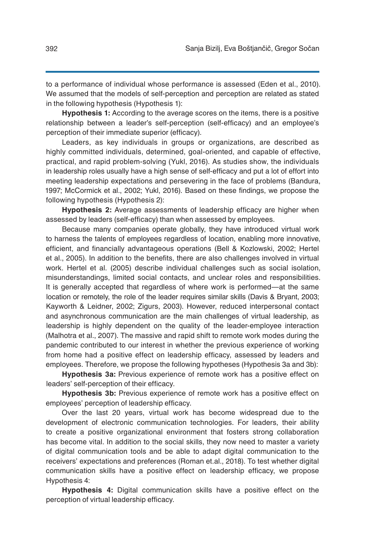to a performance of individual whose performance is assessed (Eden et al., 2010). We assumed that the models of self-perception and perception are related as stated in the following hypothesis (Hypothesis 1):

**Hypothesis 1:** According to the average scores on the items, there is a positive relationship between a leader's self-perception (self-efficacy) and an employee's perception of their immediate superior (efficacy).

Leaders, as key individuals in groups or organizations, are described as highly committed individuals, determined, goal-oriented, and capable of effective, practical, and rapid problem-solving (Yukl, 2016). As studies show, the individuals in leadership roles usually have a high sense of self-efficacy and put a lot of effort into meeting leadership expectations and persevering in the face of problems (Bandura, 1997; McCormick et al., 2002; Yukl, 2016). Based on these findings, we propose the following hypothesis (Hypothesis 2):

**Hypothesis 2:** Average assessments of leadership efficacy are higher when assessed by leaders (self-efficacy) than when assessed by employees.

Because many companies operate globally, they have introduced virtual work to harness the talents of employees regardless of location, enabling more innovative, efficient, and financially advantageous operations (Bell & Kozlowski, 2002; Hertel et al., 2005). In addition to the benefits, there are also challenges involved in virtual work. Hertel et al. (2005) describe individual challenges such as social isolation, misunderstandings, limited social contacts, and unclear roles and responsibilities. It is generally accepted that regardless of where work is performed—at the same location or remotely, the role of the leader requires similar skills (Davis & Bryant, 2003; Kayworth & Leidner, 2002; Zigurs, 2003). However, reduced interpersonal contact and asynchronous communication are the main challenges of virtual leadership, as leadership is highly dependent on the quality of the leader-employee interaction (Malhotra et al., 2007). The massive and rapid shift to remote work modes during the pandemic contributed to our interest in whether the previous experience of working from home had a positive effect on leadership efficacy, assessed by leaders and employees. Therefore, we propose the following hypotheses (Hypothesis 3a and 3b):

**Hypothesis 3a:** Previous experience of remote work has a positive effect on leaders' self-perception of their efficacy.

**Hypothesis 3b:** Previous experience of remote work has a positive effect on employees' perception of leadership efficacy.

Over the last 20 years, virtual work has become widespread due to the development of electronic communication technologies. For leaders, their ability to create a positive organizational environment that fosters strong collaboration has become vital. In addition to the social skills, they now need to master a variety of digital communication tools and be able to adapt digital communication to the receivers' expectations and preferences (Roman et.al., 2018). To test whether digital communication skills have a positive effect on leadership efficacy, we propose Hypothesis 4:

**Hypothesis 4:** Digital communication skills have a positive effect on the perception of virtual leadership efficacy.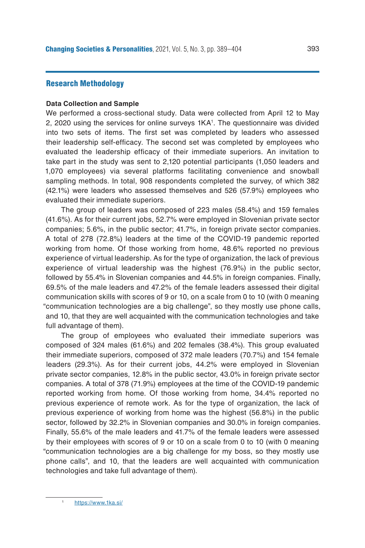# Research Methodology

#### **Data Collection and Sample**

We performed a cross-sectional study. Data were collected from April 12 to May 2, 2020 using the services for online surveys 1KA<sup>1</sup>. The questionnaire was divided into two sets of items. The first set was completed by leaders who assessed their leadership self-efficacy. The second set was completed by employees who evaluated the leadership efficacy of their immediate superiors. An invitation to take part in the study was sent to 2,120 potential participants (1,050 leaders and 1,070 employees) via several platforms facilitating convenience and snowball sampling methods. In total, 908 respondents completed the survey, of which 382 (42.1%) were leaders who assessed themselves and 526 (57.9%) employees who evaluated their immediate superiors.

The group of leaders was composed of 223 males (58.4%) and 159 females (41.6%). As for their current jobs, 52.7% were employed in Slovenian private sector companies; 5.6%, in the public sector; 41.7%, in foreign private sector companies. A total of 278 (72.8%) leaders at the time of the COVID-19 pandemic reported working from home. Of those working from home, 48.6% reported no previous experience of virtual leadership. As for the type of organization, the lack of previous experience of virtual leadership was the highest (76.9%) in the public sector, followed by 55.4% in Slovenian companies and 44.5% in foreign companies. Finally, 69.5% of the male leaders and 47.2% of the female leaders assessed their digital communication skills with scores of 9 or 10, on a scale from 0 to 10 (with 0 meaning "communication technologies are a big challenge", so they mostly use phone calls, and 10, that they are well acquainted with the communication technologies and take full advantage of them).

The group of employees who evaluated their immediate superiors was composed of 324 males (61.6%) and 202 females (38.4%). This group evaluated their immediate superiors, composed of 372 male leaders (70.7%) and 154 female leaders (29.3%). As for their current jobs, 44.2% were employed in Slovenian private sector companies, 12.8% in the public sector, 43.0% in foreign private sector companies. A total of 378 (71.9%) employees at the time of the COVID-19 pandemic reported working from home. Of those working from home, 34.4% reported no previous experience of remote work. As for the type of organization, the lack of previous experience of working from home was the highest (56.8%) in the public sector, followed by 32.2% in Slovenian companies and 30.0% in foreign companies. Finally, 55.6% of the male leaders and 41.7% of the female leaders were assessed by their employees with scores of 9 or 10 on a scale from 0 to 10 (with 0 meaning "communication technologies are a big challenge for my boss, so they mostly use phone calls", and 10, that the leaders are well acquainted with communication technologies and take full advantage of them).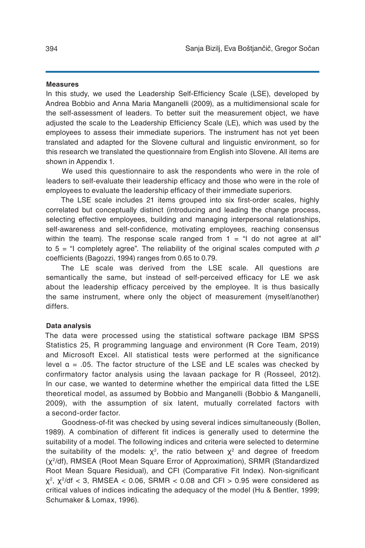#### **Measures**

In this study, we used the Leadership Self-Efficiency Scale (LSE), developed by Andrea Bobbio and Anna Maria Manganelli (2009), as a multidimensional scale for the self-assessment of leaders. To better suit the measurement object, we have adjusted the scale to the Leadership Efficiency Scale (LE), which was used by the employees to assess their immediate superiors. The instrument has not yet been translated and adapted for the Slovene cultural and linguistic environment, so for this research we translated the questionnaire from English into Slovene. All items are shown in Appendix 1.

We used this questionnaire to ask the respondents who were in the role of leaders to self-evaluate their leadership efficacy and those who were in the role of employees to evaluate the leadership efficacy of their immediate superiors.

The LSE scale includes 21 items grouped into six first-order scales, highly correlated but conceptually distinct (introducing and leading the change process, selecting effective employees, building and managing interpersonal relationships, self-awareness and self-confidence, motivating employees, reaching consensus within the team). The response scale ranged from  $1 =$  "I do not agree at all" to 5 = "I completely agree". The reliability of the original scales computed with *ρ* coefficients (Bagozzi, 1994) ranges from 0.65 to 0.79.

The LE scale was derived from the LSE scale. All questions are semantically the same, but instead of self-perceived efficacy for LE we ask about the leadership efficacy perceived by the employee. It is thus basically the same instrument, where only the object of measurement (myself/another) differs.

# **Data analysis**

The data were processed using the statistical software package IBM SPSS Statistics 25, R programming language and environment (R Core Team, 2019) and Microsoft Excel. All statistical tests were performed at the significance level α = .05. The factor structure of the LSE and LE scales was checked by confirmatory factor analysis using the lavaan package for R (Rosseel, 2012). In our case, we wanted to determine whether the empirical data fitted the LSE theoretical model, as assumed by Bobbio and Manganelli (Bobbio & Manganelli, 2009), with the assumption of six latent, mutually correlated factors with a second-order factor.

Goodness-of-fit was checked by using several indices simultaneously (Bollen, 1989). A combination of different fit indices is generally used to determine the suitability of a model. The following indices and criteria were selected to determine the suitability of the models:  $\chi^2$ , the ratio between  $\chi^2$  and degree of freedom (χ<sup>2</sup>/df), RMSEA (Root Mean Square Error of Approximation), SRMR (Standardized Root Mean Square Residual), and CFI (Comparative Fit Index). Non-significant  $\chi^2$ ,  $\chi^2$ /df < 3, RMSEA < 0.06, SRMR < 0.08 and CFI > 0.95 were considered as critical values of indices indicating the adequacy of the model (Hu & Bentler, 1999; Schumaker & Lomax, 1996).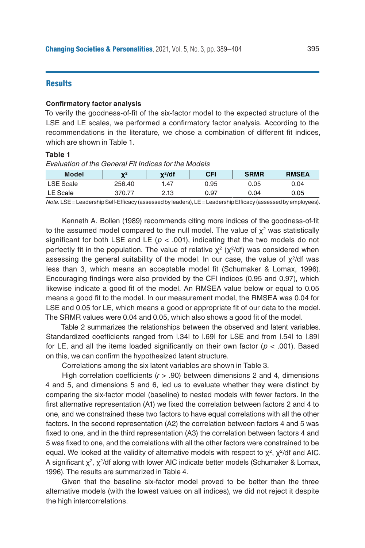# **Results**

#### **Confirmatory factor analysis**

To verify the goodness-of-fit of the six-factor model to the expected structure of the LSE and LE scales, we performed a confirmatory factor analysis. According to the recommendations in the literature, we chose a combination of different fit indices, which are shown in Table 1.

### **Table 1**

*Evaluation of the General Fit Indices for the Models*

| <b>Model</b>     | $\mathbf{v}^2$ | x²/df | CFI  | <b>SRMR</b> | <b>RMSEA</b> |
|------------------|----------------|-------|------|-------------|--------------|
| <b>LSE Scale</b> | 256.40         | 1.47  | 0.95 | 0.05        | 0.04         |
| LE Scale         | 370.77         | 2.13  | 0.97 | 0.04        | 0.05         |

*Note.* LSE = Leadership Self-Efficacy (assessed by leaders), LE = Leadership Efficacy (assessed by employees).

Kenneth A. Bollen (1989) recommends citing more indices of the goodness-of-fit to the assumed model compared to the null model. The value of  $\chi^2$  was statistically significant for both LSE and LE ( $p < .001$ ), indicating that the two models do not perfectly fit in the population. The value of relative  $\chi^2$  (χ<sup>2</sup>/df) was considered when assessing the general suitability of the model. In our case, the value of  $\chi^2/df$  was less than 3, which means an acceptable model fit (Schumaker & Lomax, 1996). Encouraging findings were also provided by the CFI indices (0.95 and 0.97), which likewise indicate a good fit of the model. An RMSEA value below or equal to 0.05 means a good fit to the model. In our measurement model, the RMSEA was 0.04 for LSE and 0.05 for LE, which means a good or appropriate fit of our data to the model. The SRMR values were 0.04 and 0.05, which also shows a good fit of the model.

Table 2 summarizes the relationships between the observed and latent variables. Standardized coefficients ranged from |.34| to |.69| for LSE and from |.54| to |.89| for LE, and all the items loaded significantly on their own factor ( $p < .001$ ). Based on this, we can confirm the hypothesized latent structure.

Correlations among the six latent variables are shown in Table 3.

High correlation coefficients (*r* > .90) between dimensions 2 and 4, dimensions 4 and 5, and dimensions 5 and 6, led us to evaluate whether they were distinct by comparing the six-factor model (baseline) to nested models with fewer factors. In the first alternative representation (A1) we fixed the correlation between factors 2 and 4 to one, and we constrained these two factors to have equal correlations with all the other factors. In the second representation (A2) the correlation between factors 4 and 5 was fixed to one, and in the third representation (A3) the correlation between factors 4 and 5 was fixed to one, and the correlations with all the other factors were constrained to be equal. We looked at the validity of alternative models with respect to  $\chi^2$ ,  $\chi^2$ /df and AIC. A significant  $\chi^2$ ,  $\chi^2$ /df along with lower AIC indicate better models (Schumaker & Lomax, 1996). The results are summarized in Table 4.

Given that the baseline six-factor model proved to be better than the three alternative models (with the lowest values on all indices), we did not reject it despite the high intercorrelations.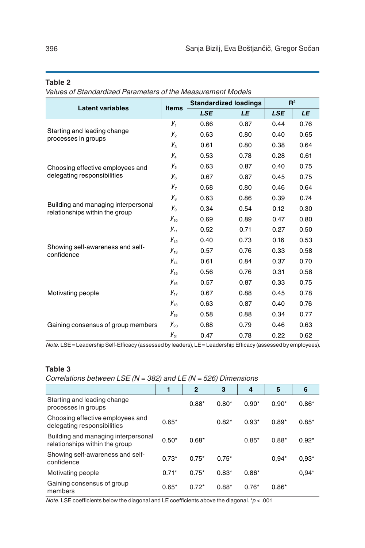# **Table 2**

*Values of Standardized Parameters of the Measurement Models*

|                                                                       | <b>Items</b>   |            | <b>Standardized loadings</b> | R <sup>2</sup> |      |
|-----------------------------------------------------------------------|----------------|------------|------------------------------|----------------|------|
| <b>Latent variables</b>                                               |                | <b>LSE</b> | LE                           | <b>LSE</b>     | LE   |
|                                                                       | $y_{1}$        | 0.66       | 0.87                         | 0.44           | 0.76 |
| Starting and leading change<br>processes in groups                    | $y_{2}$        | 0.63       | 0.80                         | 0.40           | 0.65 |
|                                                                       | $y_{3}$        | 0.61       | 0.80                         | 0.38           | 0.64 |
|                                                                       | y,             | 0.53       | 0.78                         | 0.28           | 0.61 |
| Choosing effective employees and                                      | $y_{5}$        | 0.63       | 0.87                         | 0.40           | 0.75 |
| delegating responsibilities                                           | $y_{6}$        | 0.67       | 0.87                         | 0.45           | 0.75 |
|                                                                       | $y_{7}$        | 0.68       | 0.80                         | 0.46           | 0.64 |
|                                                                       | y <sub>8</sub> | 0.63       | 0.86                         | 0.39           | 0.74 |
| Building and managing interpersonal<br>relationships within the group | y <sub>9</sub> | 0.34       | 0.54                         | 0.12           | 0.30 |
|                                                                       | $y_{10}$       | 0.69       | 0.89                         | 0.47           | 0.80 |
|                                                                       | $y_{11}$       | 0.52       | 0.71                         | 0.27           | 0.50 |
|                                                                       | $y_{12}$       | 0.40       | 0.73                         | 0.16           | 0.53 |
| Showing self-awareness and self-<br>confidence                        | $y_{13}$       | 0.57       | 0.76                         | 0.33           | 0.58 |
|                                                                       | $y_{14}$       | 0.61       | 0.84                         | 0.37           | 0.70 |
|                                                                       | $y_{15}$       | 0.56       | 0.76                         | 0.31           | 0.58 |
|                                                                       | $y_{16}$       | 0.57       | 0.87                         | 0.33           | 0.75 |
| Motivating people                                                     | $y_{17}$       | 0.67       | 0.88                         | 0.45           | 0.78 |
|                                                                       | $y_{18}$       | 0.63       | 0.87                         | 0.40           | 0.76 |
|                                                                       | $y_{19}$       | 0.58       | 0.88                         | 0.34           | 0.77 |
| Gaining consensus of group members                                    | $y_{20}$       | 0.68       | 0.79                         | 0.46           | 0.63 |
|                                                                       | $y_{21}$       | 0.47       | 0.78                         | 0.22           | 0.62 |

*Note.* LSE = Leadership Self-Efficacy (assessed by leaders), LE = Leadership Efficacy (assessed by employees)*.*

# **Table 3**

*Correlations between LSE (N = 382) and LE (N = 526) Dimensions*

|                                                                       |         | $\overline{2}$ | 3       | 4       | 5       | 6       |
|-----------------------------------------------------------------------|---------|----------------|---------|---------|---------|---------|
| Starting and leading change<br>processes in groups                    |         | $0.88*$        | $0.80*$ | $0.90*$ | $0.90*$ | $0.86*$ |
| Choosing effective employees and<br>delegating responsibilities       | $0.65*$ |                | $0.82*$ | $0.93*$ | $0.89*$ | $0.85*$ |
| Building and managing interpersonal<br>relationships within the group | $0.50*$ | $0.68*$        |         | $0.85*$ | $0.88*$ | $0.92*$ |
| Showing self-awareness and self-<br>confidence                        | $0.73*$ | $0.75*$        | $0.75*$ |         | $0.94*$ | $0.93*$ |
| Motivating people                                                     | $0.71*$ | $0.75*$        | $0.83*$ | $0.86*$ |         | $0.94*$ |
| Gaining consensus of group<br>members                                 | $0.65*$ | $0.72*$        | $0.88*$ | $0.76*$ | $0.86*$ |         |

*Note.* LSE coefficients below the diagonal and LE coefficients above the diagonal. \**p* < .001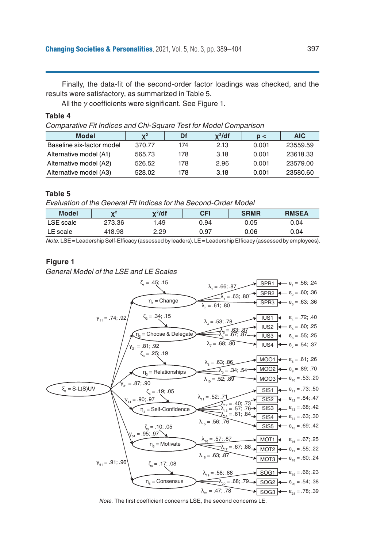Finally, the data-fit of the second-order factor loadings was checked, and the results were satisfactory, as summarized in Table 5.

All the *γ* coefficients were significant. See Figure 1.

#### **Table 4**

*Comparative Fit Indices and Chi-Square Test for Model Comparison* 

| <b>Model</b>              | $\mathbf{Y}^2$ | Df  | $x^2$ /df | p <   | <b>AIC</b> |
|---------------------------|----------------|-----|-----------|-------|------------|
| Baseline six-factor model | 370.77         | 174 | 2.13      | 0.001 | 23559.59   |
| Alternative model (A1)    | 565.73         | 178 | 3.18      | 0.001 | 23618.33   |
| Alternative model (A2)    | 526.52         | 178 | 2.96      | 0.001 | 23579.00   |
| Alternative model (A3)    | 528.02         | 178 | 3.18      | 0.001 | 23580.60   |

# **Table 5**

*Evaluation of the General Fit Indices for the Second-Order Model* 

| <b>Model</b> | $\mathbf{v}^2$ | x <sup>2</sup> /df | CFI  | <b>SRMR</b> | <b>RMSEA</b> |
|--------------|----------------|--------------------|------|-------------|--------------|
| LSE scale    | 273.36         | .49                | 0.94 | 0.05        | 0.04         |
| LE scale     | 418.98         | 2.29               | 0.97 | 0.06        | 0.04         |

*Note.* LSE = Leadership Self-Efficacy (assessed by leaders), LE = Leadership Efficacy (assessed by employees).

#### **Figure 1**

*General Model of the LSE and LE Scales*



*Note.* The first coefficient concerns LSE, the second concerns LE.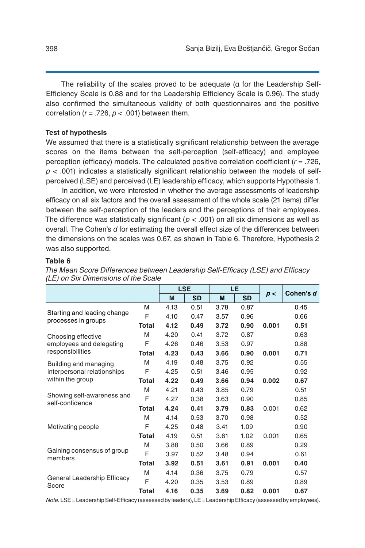The reliability of the scales proved to be adequate (α for the Leadership Self-Efficiency Scale is 0.88 and for the Leadership Efficiency Scale is 0.96). The study also confirmed the simultaneous validity of both questionnaires and the positive correlation ( $r = .726$ ,  $p < .001$ ) between them.

#### **Test of hypothesis**

We assumed that there is a statistically significant relationship between the average scores on the items between the self-perception (self-efficacy) and employee perception (efficacy) models. The calculated positive correlation coefficient (*r* = .726, *p* < .001) indicates a statistically significant relationship between the models of selfperceived (LSE) and perceived (LE) leadership efficacy, which supports Hypothesis 1.

In addition, we were interested in whether the average assessments of leadership efficacy on all six factors and the overall assessment of the whole scale (21 items) differ between the self-perception of the leaders and the perceptions of their employees. The difference was statistically significant ( $p < .001$ ) on all six dimensions as well as overall. The Cohen's *d* for estimating the overall effect size of the differences between the dimensions on the scales was 0.67, as shown in Table 6. Therefore, Hypothesis 2 was also supported.

#### **Table 6**

|                                                    |              | <b>LSE</b> |           | LE   |           |       |           |
|----------------------------------------------------|--------------|------------|-----------|------|-----------|-------|-----------|
|                                                    |              | M          | <b>SD</b> | M    | <b>SD</b> | p<    | Cohen's d |
|                                                    | М            | 4.13       | 0.51      | 3.78 | 0.87      |       | 0.45      |
| Starting and leading change<br>processes in groups | F            | 4.10       | 0.47      | 3.57 | 0.96      |       | 0.66      |
|                                                    | Total        | 4.12       | 0.49      | 3.72 | 0.90      | 0.001 | 0.51      |
| Choosing effective                                 | M            | 4.20       | 0.41      | 3.72 | 0.87      |       | 0.63      |
| employees and delegating                           | F            | 4.26       | 0.46      | 3.53 | 0.97      |       | 0.88      |
| responsibilities                                   | Total        | 4.23       | 0.43      | 3.66 | 0.90      | 0.001 | 0.71      |
| Building and managing                              | M            | 4.19       | 0.48      | 3.75 | 0.92      |       | 0.55      |
| interpersonal relationships                        | F            | 4.25       | 0.51      | 3.46 | 0.95      |       | 0.92      |
| within the group                                   | <b>Total</b> | 4.22       | 0.49      | 3.66 | 0.94      | 0.002 | 0.67      |
|                                                    | M            | 4.21       | 0.43      | 3.85 | 0.79      |       | 0.51      |
| Showing self-awareness and<br>self-confidence      | F            | 4.27       | 0.38      | 3.63 | 0.90      |       | 0.85      |
|                                                    | <b>Total</b> | 4.24       | 0.41      | 3.79 | 0.83      | 0.001 | 0.62      |
|                                                    | M            | 4.14       | 0.53      | 3.70 | 0.98      |       | 0.52      |
| Motivating people                                  | F            | 4.25       | 0.48      | 3.41 | 1.09      |       | 0.90      |
|                                                    | <b>Total</b> | 4.19       | 0.51      | 3.61 | 1.02      | 0.001 | 0.65      |
|                                                    | M            | 3.88       | 0.50      | 3.66 | 0.89      |       | 0.29      |
| Gaining consensus of group<br>members              | F            | 3.97       | 0.52      | 3.48 | 0.94      |       | 0.61      |
|                                                    | <b>Total</b> | 3.92       | 0.51      | 3.61 | 0.91      | 0.001 | 0.40      |
|                                                    | M            | 4.14       | 0.36      | 3.75 | 0.79      |       | 0.57      |
| General Leadership Efficacy<br>Score               | F            | 4.20       | 0.35      | 3.53 | 0.89      |       | 0.89      |
|                                                    | Total        | 4.16       | 0.35      | 3.69 | 0.82      | 0.001 | 0.67      |

*The Mean Score Differences between Leadership Self-Efficacy (LSE) and Efficacy (LE) on Six Dimensions of the Scale*

*Note.* LSE = Leadership Self-Efficacy (assessed by leaders), LE = Leadership Efficacy (assessed by employees).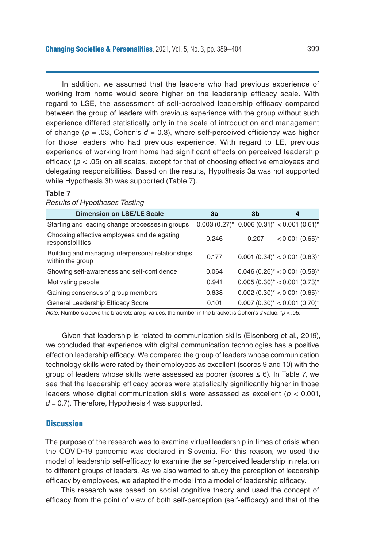In addition, we assumed that the leaders who had previous experience of working from home would score higher on the leadership efficacy scale. With regard to LSE, the assessment of self-perceived leadership efficacy compared between the group of leaders with previous experience with the group without such experience differed statistically only in the scale of introduction and management of change ( $p = .03$ , Cohen's  $d = 0.3$ ), where self-perceived efficiency was higher for those leaders who had previous experience. With regard to LE, previous experience of working from home had significant effects on perceived leadership efficacy ( $p < .05$ ) on all scales, except for that of choosing effective employees and delegating responsibilities. Based on the results, Hypothesis 3a was not supported while Hypothesis 3b was supported (Table 7).

#### **Table 7**

| пезинэ огтурошезез тезинд                                             |       |                |                                                         |
|-----------------------------------------------------------------------|-------|----------------|---------------------------------------------------------|
| <b>Dimension on LSE/LE Scale</b>                                      | За    | 3 <sub>b</sub> | 4                                                       |
| Starting and leading change processes in groups                       |       |                | $0.003$ (0.27)* 0.006 (0.31)* < 0.001 (0.61)*           |
| Choosing effective employees and delegating<br>responsibilities       | 0.246 | 0.207          | $< 0.001$ (0.65)*                                       |
| Building and managing interpersonal relationships<br>within the group | 0.177 |                | $0.001$ $(0.34)^*$ < 0.001 $(0.63)^*$                   |
| Showing self-awareness and self-confidence                            | 0.064 |                | $0.046$ (0.26) <sup>*</sup> < 0.001 (0.58) <sup>*</sup> |
| Motivating people                                                     | 0.941 |                | $0.005(0.30)^{*} < 0.001(0.73)^{*}$                     |
| Gaining consensus of group members                                    | 0.638 |                | $0.002$ (0.30) <sup>*</sup> < 0.001 (0.65) <sup>*</sup> |
| General Leadership Efficacy Score                                     | 0.101 |                | $0.007(0.30)^{*} < 0.001(0.70)^{*}$                     |
|                                                                       |       |                |                                                         |

*Results of Hypotheses Testing*

*Note.* Numbers above the brackets are p-values; the number in the bracket is Cohen's *d* value. \**p* < .05.

Given that leadership is related to communication skills (Eisenberg et al., 2019), we concluded that experience with digital communication technologies has a positive effect on leadership efficacy. We compared the group of leaders whose communication technology skills were rated by their employees as excellent (scores 9 and 10) with the group of leaders whose skills were assessed as poorer (scores  $\leq 6$ ). In Table 7, we see that the leadership efficacy scores were statistically significantly higher in those leaders whose digital communication skills were assessed as excellent (*p* < 0.001,  $d = 0.7$ ). Therefore, Hypothesis 4 was supported.

## **Discussion**

The purpose of the research was to examine virtual leadership in times of crisis when the COVID-19 pandemic was declared in Slovenia. For this reason, we used the model of leadership self-efficacy to examine the self-perceived leadership in relation to different groups of leaders. As we also wanted to study the perception of leadership efficacy by employees, we adapted the model into a model of leadership efficacy.

This research was based on social cognitive theory and used the concept of efficacy from the point of view of both self-perception (self-efficacy) and that of the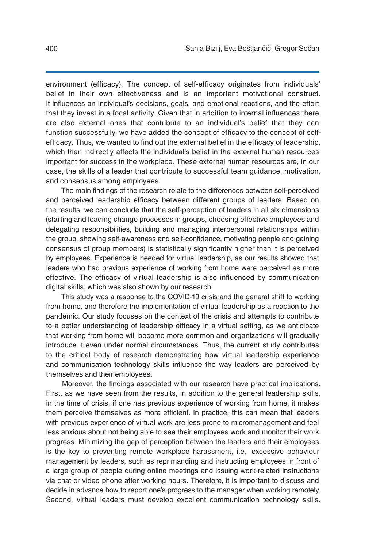environment (efficacy). The concept of self-efficacy originates from individuals' belief in their own effectiveness and is an important motivational construct. It influences an individual's decisions, goals, and emotional reactions, and the effort that they invest in a focal activity. Given that in addition to internal influences there are also external ones that contribute to an individual's belief that they can function successfully, we have added the concept of efficacy to the concept of selfefficacy. Thus, we wanted to find out the external belief in the efficacy of leadership, which then indirectly affects the individual's belief in the external human resources important for success in the workplace. These external human resources are, in our case, the skills of a leader that contribute to successful team guidance, motivation, and consensus among employees.

The main findings of the research relate to the differences between self-perceived and perceived leadership efficacy between different groups of leaders. Based on the results, we can conclude that the self-perception of leaders in all six dimensions (starting and leading change processes in groups, choosing effective employees and delegating responsibilities, building and managing interpersonal relationships within the group, showing self-awareness and self-confidence, motivating people and gaining consensus of group members) is statistically significantly higher than it is perceived by employees. Experience is needed for virtual leadership, as our results showed that leaders who had previous experience of working from home were perceived as more effective. The efficacy of virtual leadership is also influenced by communication digital skills, which was also shown by our research.

This study was a response to the COVID-19 crisis and the general shift to working from home, and therefore the implementation of virtual leadership as a reaction to the pandemic. Our study focuses on the context of the crisis and attempts to contribute to a better understanding of leadership efficacy in a virtual setting, as we anticipate that working from home will become more common and organizations will gradually introduce it even under normal circumstances. Thus, the current study contributes to the critical body of research demonstrating how virtual leadership experience and communication technology skills influence the way leaders are perceived by themselves and their employees.

Moreover, the findings associated with our research have practical implications. First, as we have seen from the results, in addition to the general leadership skills, in the time of crisis, if one has previous experience of working from home, it makes them perceive themselves as more efficient. In practice, this can mean that leaders with previous experience of virtual work are less prone to micromanagement and feel less anxious about not being able to see their employees work and monitor their work progress. Minimizing the gap of perception between the leaders and their employees is the key to preventing remote workplace harassment, i.e., excessive behaviour management by leaders, such as reprimanding and instructing employees in front of a large group of people during online meetings and issuing work-related instructions via chat or video phone after working hours. Therefore, it is important to discuss and decide in advance how to report one's progress to the manager when working remotely. Second, virtual leaders must develop excellent communication technology skills.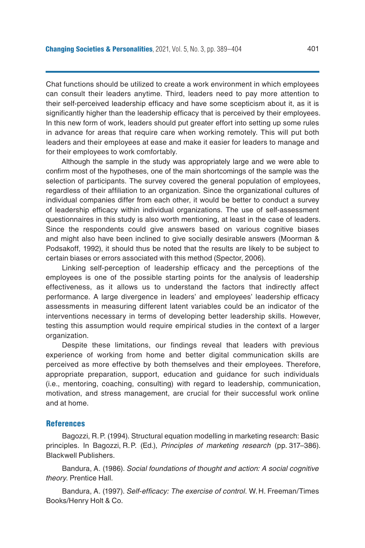Chat functions should be utilized to create a work environment in which employees can consult their leaders anytime. Third, leaders need to pay more attention to their self-perceived leadership efficacy and have some scepticism about it, as it is significantly higher than the leadership efficacy that is perceived by their employees. In this new form of work, leaders should put greater effort into setting up some rules in advance for areas that require care when working remotely. This will put both leaders and their employees at ease and make it easier for leaders to manage and for their employees to work comfortably.

Although the sample in the study was appropriately large and we were able to confirm most of the hypotheses, one of the main shortcomings of the sample was the selection of participants. The survey covered the general population of employees, regardless of their affiliation to an organization. Since the organizational cultures of individual companies differ from each other, it would be better to conduct a survey of leadership efficacy within individual organizations. The use of self-assessment questionnaires in this study is also worth mentioning, at least in the case of leaders. Since the respondents could give answers based on various cognitive biases and might also have been inclined to give socially desirable answers (Moorman & Podsakoff, 1992), it should thus be noted that the results are likely to be subject to certain biases or errors associated with this method (Spector, 2006).

Linking self-perception of leadership efficacy and the perceptions of the employees is one of the possible starting points for the analysis of leadership effectiveness, as it allows us to understand the factors that indirectly affect performance. A large divergence in leaders' and employees' leadership efficacy assessments in measuring different latent variables could be an indicator of the interventions necessary in terms of developing better leadership skills. However, testing this assumption would require empirical studies in the context of a larger organization.

Despite these limitations, our findings reveal that leaders with previous experience of working from home and better digital communication skills are perceived as more effective by both themselves and their employees. Therefore, appropriate preparation, support, education and guidance for such individuals (i.e., mentoring, coaching, consulting) with regard to leadership, communication, motivation, and stress management, are crucial for their successful work online and at home.

#### References

Bagozzi, R.P. (1994). Structural equation modelling in marketing research: Basic principles. In Bagozzi, R.P. (Ed.), *Principles of marketing research* (pp. 317–386). Blackwell Publishers.

Bandura, A. (1986). *Social foundations of thought and action: A social cognitive theory*. Prentice Hall.

Bandura, A. (1997). *Self-efficacy: The exercise of control*. W.H. Freeman/Times Books/Henry Holt & Co.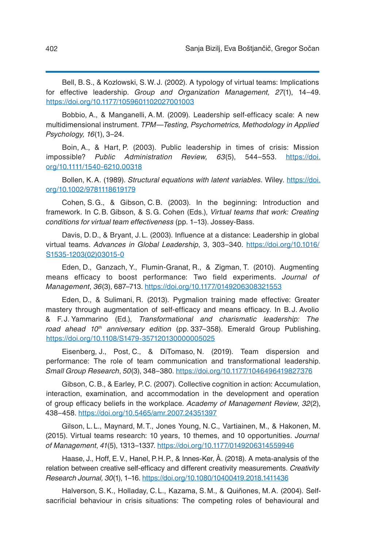Bell, B.S., & Kozlowski, S.W.J. (2002). A typology of virtual teams: Implications for effective leadership. *Group and Organization Management, 27*(1), 14–49. <https://doi.org/10.1177/1059601102027001003>

Bobbio, A., & Manganelli, A.M. (2009). Leadership self-efficacy scale: A new multidimensional instrument. *TPM*—*Testing, Psychometrics, Methodology in Applied Psychology, 16*(1), 3–24.

Boin, A., & Hart, P. (2003). Public leadership in times of crisis: Mission impossible? *Public Administration Review, 63*(5), 544–553. [https://doi.](https://doi.org/10.1111/1540-6210.00318) [org/10.1111/1540-6210.00318](https://doi.org/10.1111/1540-6210.00318)

Bollen, K.A. (1989). *Structural equations with latent variables*. Wiley. [https://doi.](https://doi.org/10.1002/9781118619179) [org/10.1002/9781118619179](https://doi.org/10.1002/9781118619179)

Cohen, S.G., & Gibson, C.B. (2003). In the beginning: Introduction and framework. In C.B. Gibson, & S.G. Cohen (Eds.), *Virtual teams that work: Creating conditions for virtual team effectiveness* (pp. 1–13). Jossey-Bass.

Davis, D.D., & Bryant, J.L. (2003). Influence at a distance: Leadership in global virtual teams. *Advances in Global Leadership*, 3, 303–340. [https://doi.org/10.1016/](https://doi.org/10.1016/S1535-1203(02)03015-0) [S1535-1203\(02\)03015-0](https://doi.org/10.1016/S1535-1203(02)03015-0)

Eden, D., Ganzach, Y., Flumin-Granat, R., & Zigman, T. (2010). Augmenting means efficacy to boost performance: Two field experiments. *Journal of Management*, *36*(3), 687–713. <https://doi.org/10.1177/0149206308321553>

Eden, D., & Sulimani, R. (2013). Pygmalion training made effective: Greater mastery through augmentation of self-efficacy and means efficacy. In B.J. Avolio & F.J. Yammarino (Ed.), *Transformational and charismatic leadership: The road ahead 10th anniversary edition* (pp. 337–358). Emerald Group Publishing. <https://doi.org/10.1108/S1479-357120130000005025>

Eisenberg, J., Post, C., & DiTomaso, N. (2019). Team dispersion and performance: The role of team communication and transformational leadership. *Small Group Research*, *50*(3), 348–380. <https://doi.org/10.1177/1046496419827376>

Gibson, C.B., & Earley, P.C. (2007). Collective cognition in action: Accumulation, interaction, examination, and accommodation in the development and operation of group efficacy beliefs in the workplace. *Academy of Management Review*, *32*(2), 438–458. <https://doi.org/10.5465/amr.2007.24351397>

Gilson, L.L., Maynard, M.T., Jones Young, N.C., Vartiainen, M., & Hakonen, M. (2015). Virtual teams research: 10 years, 10 themes, and 10 opportunities. *Journal of Management*, *41*(5), 1313–1337. <https://doi.org/10.1177/0149206314559946>

Haase, J., Hoff, E.V., Hanel, P.H.P., & Innes-Ker, Å. (2018). A meta-analysis of the relation between creative self-efficacy and different creativity measurements. *Creativity Research Journal, 30*(1), 1–16. <https://doi.org/10.1080/10400419.2018.1411436>

Halverson, S.K., Holladay, C.L., Kazama, S.M., & Quiñones, M.A. (2004). Selfsacrificial behaviour in crisis situations: The competing roles of behavioural and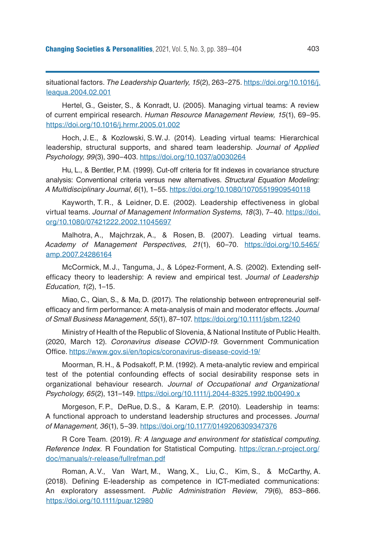situational factors. *The Leadership Quarterly, 15*(2), 263–275. [https://doi.org/10.1016/j.](https://doi.org/10.1016/j.leaqua.2004.02.001) [leaqua.2004.02.001](https://doi.org/10.1016/j.leaqua.2004.02.001)

Hertel, G., Geister, S., & Konradt, U. (2005). Managing virtual teams: A review of current empirical research. *Human Resource Management Review, 15*(1), 69–95. <https://doi.org/10.1016/j.hrmr.2005.01.002>

Hoch, J.E., & Kozlowski, S.W.J. (2014). Leading virtual teams: Hierarchical leadership, structural supports, and shared team leadership. *Journal of Applied Psychology, 99*(3), 390–403. <https://doi.org/10.1037/a0030264>

Hu, L., & Bentler, P.M. (1999). Cut-off criteria for fit indexes in covariance structure analysis: Conventional criteria versus new alternatives. *Structural Equation Modeling: A Multidisciplinary Journal*, *6*(1), 1–55. <https://doi.org/10.1080/10705519909540118>

Kayworth, T. R., & Leidner, D.E. (2002). Leadership effectiveness in global virtual teams. *Journal of Management Information Systems, 18*(3), 7–40. [https://doi.](https://doi.org/10.1080/07421222.2002.11045697) [org/10.1080/07421222.2002.11045697](https://doi.org/10.1080/07421222.2002.11045697)

Malhotra, A., Majchrzak, A., & Rosen, B. (2007). Leading virtual teams. *Academy of Management Perspectives, 21*(1), 60–70. [https://doi.org/10.5465/](https://doi.org/10.5465/amp.2007.24286164) [amp.2007.24286164](https://doi.org/10.5465/amp.2007.24286164)

McCormick, M.J., Tanguma, J., & López-Forment, A.S. (2002). Extending selfefficacy theory to leadership: A review and empirical test. *Journal of Leadership Education, 1*(2), 1–15.

Miao, C., Qian, S., & Ma, D. (2017). The relationship between entrepreneurial selfefficacy and firm performance: A meta-analysis of main and moderator effects. *Journal of Small Business Management*, *55*(1), 87–107. <https://doi.org/10.1111/jsbm.12240>

Ministry of Health of the Republic of Slovenia, & National Institute of Public Health. (2020, March 12). *Coronavirus disease COVID-19.* Government Communication Office.<https://www.gov.si/en/topics/coronavirus-disease-covid-19/>

Moorman, R.H., & Podsakoff, P.M. (1992). A meta-analytic review and empirical test of the potential confounding effects of social desirability response sets in organizational behaviour research. *Journal of Occupational and Organizational Psychology, 65*(2), 131–149. <https://doi.org/10.1111/j.2044-8325.1992.tb00490.x>

Morgeson, F.P., DeRue, D.S., & Karam, E.P. (2010). Leadership in teams: A functional approach to understand leadership structures and processes. *Journal of Management, 36*(1), 5–39. <https://doi.org/10.1177/0149206309347376>

R Core Team. (2019). *R: A language and environment for statistical computing. Reference Index.* R Foundation for Statistical Computing. [https://cran.r-project.org/](https://cran.r-project.org/doc/manuals/r-release/fullrefman.pdf) [doc/manuals/r-release/fullrefman.pdf](https://cran.r-project.org/doc/manuals/r-release/fullrefman.pdf)

Roman, A.V., Van Wart, M., Wang, X., Liu, C., Kim, S., & McCarthy, A. (2018). Defining E-leadership as competence in ICT-mediated communications: An exploratory assessment. *Public Administration Review*, *79*(6), 853–866. <https://doi.org/10.1111/puar.12980>